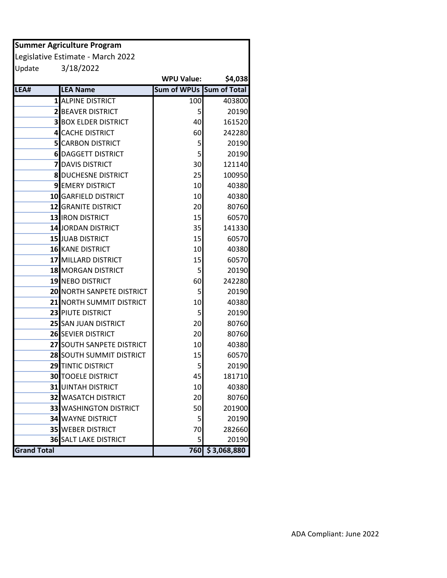| <b>Summer Agriculture Program</b> |                                   |                          |             |  |  |  |  |  |
|-----------------------------------|-----------------------------------|--------------------------|-------------|--|--|--|--|--|
|                                   | Legislative Estimate - March 2022 |                          |             |  |  |  |  |  |
| Update                            | 3/18/2022                         |                          |             |  |  |  |  |  |
|                                   |                                   | <b>WPU Value:</b>        | \$4,038     |  |  |  |  |  |
| LEA#                              | <b>LEA Name</b>                   | Sum of WPUs Sum of Total |             |  |  |  |  |  |
|                                   | 1 ALPINE DISTRICT                 | 100                      | 403800      |  |  |  |  |  |
|                                   | <b>2 BEAVER DISTRICT</b>          | 5                        | 20190       |  |  |  |  |  |
|                                   | <b>3 BOX ELDER DISTRICT</b>       | 40                       | 161520      |  |  |  |  |  |
|                                   | <b>4 CACHE DISTRICT</b>           | 60                       | 242280      |  |  |  |  |  |
|                                   | <b>5</b> CARBON DISTRICT          | 5                        | 20190       |  |  |  |  |  |
|                                   | <b>6 DAGGETT DISTRICT</b>         | 5                        | 20190       |  |  |  |  |  |
|                                   | <b>7</b> DAVIS DISTRICT           | 30                       | 121140      |  |  |  |  |  |
|                                   | <b>8 DUCHESNE DISTRICT</b>        | 25                       | 100950      |  |  |  |  |  |
|                                   | <b>9 EMERY DISTRICT</b>           | 10                       | 40380       |  |  |  |  |  |
|                                   | 10 GARFIELD DISTRICT              | 10                       | 40380       |  |  |  |  |  |
|                                   | <b>12 GRANITE DISTRICT</b>        | 20                       | 80760       |  |  |  |  |  |
|                                   | 13 IRON DISTRICT                  | 15                       | 60570       |  |  |  |  |  |
|                                   | 14 JORDAN DISTRICT                | 35                       | 141330      |  |  |  |  |  |
|                                   | 15 JUAB DISTRICT                  | 15                       | 60570       |  |  |  |  |  |
|                                   | 16 KANE DISTRICT                  | 10                       | 40380       |  |  |  |  |  |
|                                   | 17 MILLARD DISTRICT               | 15                       | 60570       |  |  |  |  |  |
|                                   | <b>18 MORGAN DISTRICT</b>         | 5                        | 20190       |  |  |  |  |  |
|                                   | 19 NEBO DISTRICT                  | 60                       | 242280      |  |  |  |  |  |
|                                   | <b>20 NORTH SANPETE DISTRICT</b>  | 5                        | 20190       |  |  |  |  |  |
|                                   | 21 NORTH SUMMIT DISTRICT          | 10                       | 40380       |  |  |  |  |  |
|                                   | 23 PIUTE DISTRICT                 | 5                        | 20190       |  |  |  |  |  |
|                                   | 25 SAN JUAN DISTRICT              | 20                       | 80760       |  |  |  |  |  |
|                                   | <b>26 SEVIER DISTRICT</b>         | 20                       | 80760       |  |  |  |  |  |
|                                   | 27 SOUTH SANPETE DISTRICT         | 10                       | 40380       |  |  |  |  |  |
|                                   | 28 SOUTH SUMMIT DISTRICT          | 15                       | 60570       |  |  |  |  |  |
|                                   | 29 TINTIC DISTRICT                | 5                        | 20190       |  |  |  |  |  |
|                                   | <b>30 TOOELE DISTRICT</b>         | 45                       | 181710      |  |  |  |  |  |
|                                   | <b>31</b> UINTAH DISTRICT         | 10                       | 40380       |  |  |  |  |  |
|                                   | <b>32 WASATCH DISTRICT</b>        | 20                       | 80760       |  |  |  |  |  |
|                                   | <b>33 WASHINGTON DISTRICT</b>     | 50                       | 201900      |  |  |  |  |  |
|                                   | <b>34 WAYNE DISTRICT</b>          | 5                        | 20190       |  |  |  |  |  |
|                                   | <b>35 WEBER DISTRICT</b>          | 70                       | 282660      |  |  |  |  |  |
|                                   | <b>36 SALT LAKE DISTRICT</b>      | 5                        | 20190       |  |  |  |  |  |
| <b>Grand Total</b>                |                                   | 760                      | \$3,068,880 |  |  |  |  |  |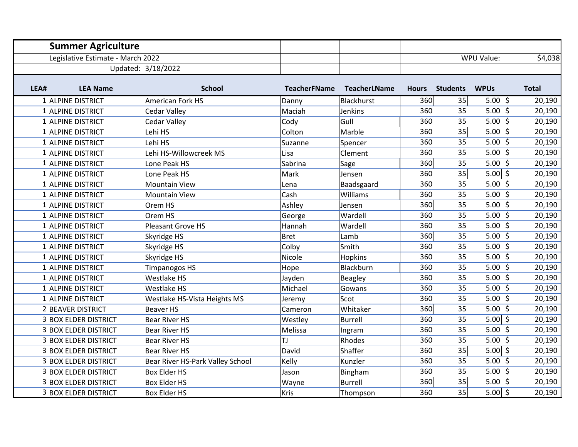|      | <b>Summer Agriculture</b>         |                                  |                     |                     |              |                 |                          |              |
|------|-----------------------------------|----------------------------------|---------------------|---------------------|--------------|-----------------|--------------------------|--------------|
|      | Legislative Estimate - March 2022 |                                  |                     |                     |              |                 | WPU Value:               | \$4,038      |
|      |                                   | Updated: 3/18/2022               |                     |                     |              |                 |                          |              |
|      |                                   |                                  |                     |                     |              |                 |                          |              |
| LEA# | <b>LEA Name</b>                   | <b>School</b>                    | <b>TeacherFName</b> | <b>TeacherLName</b> | <b>Hours</b> | <b>Students</b> | <b>WPUs</b>              | <b>Total</b> |
|      | 1 ALPINE DISTRICT                 | <b>American Fork HS</b>          | Danny               | <b>Blackhurst</b>   | 360          | 35              | $5.00$ \$                | 20,190       |
|      | 1 ALPINE DISTRICT                 | Cedar Valley                     | Maciah              | <b>Jenkins</b>      | 360          | 35              | $5.00$ \$                | 20,190       |
|      | 1 ALPINE DISTRICT                 | Cedar Valley                     | Cody                | Gull                | 360          | 35              | $5.00$ \$                | 20,190       |
|      | 1 ALPINE DISTRICT                 | Lehi HS                          | Colton              | Marble              | 360          | 35              | $5.00$ \$                | 20,190       |
|      | 1 ALPINE DISTRICT                 | Lehi HS                          | Suzanne             | Spencer             | 360          | 35              | $5.00$ \$                | 20,190       |
|      | 1 ALPINE DISTRICT                 | Lehi HS-Willowcreek MS           | Lisa                | Clement             | 360          | 35              | $5.00$ \$                | 20,190       |
|      | 1 ALPINE DISTRICT                 | Lone Peak HS                     | Sabrina             | Sage                | 360          | 35              | $5.00$ \$                | 20,190       |
|      | 1 ALPINE DISTRICT                 | Lone Peak HS                     | Mark                | Jensen              | 360          | 35              | 5.00   \$                | 20,190       |
|      | 1 ALPINE DISTRICT                 | <b>Mountain View</b>             | Lena                | Baadsgaard          | 360          | 35              | $5.00$ \$                | 20,190       |
|      | 1 ALPINE DISTRICT                 | <b>Mountain View</b>             | Cash                | Williams            | 360          | 35              | $5.00$ \$                | 20,190       |
|      | 1 ALPINE DISTRICT                 | Orem HS                          | Ashley              | Jensen              | 360          | 35              | $5.00$ \$                | 20,190       |
|      | 1 ALPINE DISTRICT                 | Orem HS                          | George              | Wardell             | 360          | 35              | $5.00$ \$                | 20,190       |
|      | 1 ALPINE DISTRICT                 | <b>Pleasant Grove HS</b>         | Hannah              | Wardell             | 360          | 35              | $5.00 \mid \overline{5}$ | 20,190       |
|      | 1 ALPINE DISTRICT                 | Skyridge HS                      | <b>Bret</b>         | Lamb                | 360          | 35              | $5.00$ \$                | 20,190       |
|      | 1 ALPINE DISTRICT                 | Skyridge HS                      | Colby               | Smith               | 360          | 35              | $5.00$ \$                | 20,190       |
|      | 1 ALPINE DISTRICT                 | Skyridge HS                      | Nicole              | Hopkins             | 360          | 35              | $5.00$ \$                | 20,190       |
|      | 1 ALPINE DISTRICT                 | <b>Timpanogos HS</b>             | Hope                | Blackburn           | 360          | 35              | $5.00$ \$                | 20,190       |
|      | 1 ALPINE DISTRICT                 | <b>Westlake HS</b>               | Jayden              | <b>Beagley</b>      | 360          | 35              | $5.00$ \$                | 20,190       |
|      | 1 ALPINE DISTRICT                 | Westlake HS                      | Michael             | Gowans              | 360          | 35              | $5.00$ \$                | 20,190       |
|      | 1 ALPINE DISTRICT                 | Westlake HS-Vista Heights MS     | Jeremy              | Scot                | 360          | 35              | $5.00$ \$                | 20,190       |
|      | <b>BEAVER DISTRICT</b>            | <b>Beaver HS</b>                 | Cameron             | Whitaker            | 360          | 35              | $5.00$ \$                | 20,190       |
|      | <b>3 BOX ELDER DISTRICT</b>       | <b>Bear River HS</b>             | Westley             | <b>Burrell</b>      | 360          | 35              | $5.00$ \$                | 20,190       |
|      | <b>3 BOX ELDER DISTRICT</b>       | <b>Bear River HS</b>             | Melissa             | Ingram              | 360          | 35              | $5.00$ \$                | 20,190       |
|      | <b>3 BOX ELDER DISTRICT</b>       | <b>Bear River HS</b>             | TJ                  | Rhodes              | 360          | 35              | $5.00 \mid \xi$          | 20,190       |
|      | <b>3 BOX ELDER DISTRICT</b>       | Bear River HS                    | David               | Shaffer             | 360          | 35              | $5.00  $ \$              | 20,190       |
|      | <b>3 BOX ELDER DISTRICT</b>       | Bear River HS-Park Valley School | Kelly               | Kunzler             | 360          | 35              | 5.00   \$                | 20,190       |
|      | <b>3 BOX ELDER DISTRICT</b>       | Box Elder HS                     | Jason               | Bingham             | 360          | 35              | $5.00$ \$                | 20,190       |
|      | <b>3 BOX ELDER DISTRICT</b>       | <b>Box Elder HS</b>              | Wayne               | <b>Burrell</b>      | 360          | 35              | $5.00 \mid \xi$          | 20,190       |
|      | <b>3 BOX ELDER DISTRICT</b>       | <b>Box Elder HS</b>              | <b>Kris</b>         | Thompson            | 360          | 35              | 5.00   \$                | 20,190       |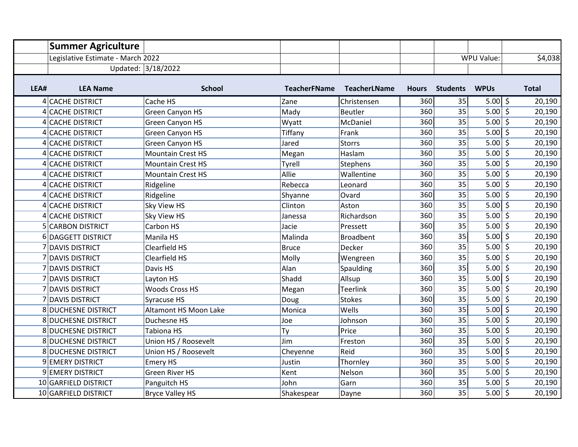|      | <b>Summer Agriculture</b>         |                          |                     |                     |              |                 |                 |              |
|------|-----------------------------------|--------------------------|---------------------|---------------------|--------------|-----------------|-----------------|--------------|
|      | Legislative Estimate - March 2022 |                          |                     |                     |              |                 | WPU Value:      | \$4,038      |
|      |                                   | Updated: 3/18/2022       |                     |                     |              |                 |                 |              |
|      |                                   |                          |                     |                     |              |                 |                 |              |
| LEA# | <b>LEA Name</b>                   | <b>School</b>            | <b>TeacherFName</b> | <b>TeacherLName</b> | <b>Hours</b> | <b>Students</b> | <b>WPUs</b>     | <b>Total</b> |
|      | 4 CACHE DISTRICT                  | Cache HS                 | Zane                | Christensen         | 360          | 35              | $5.00  $ \$     | 20,190       |
|      | 4 CACHE DISTRICT                  | Green Canyon HS          | Mady                | <b>Beutler</b>      | 360          | 35              | $5.00$ \$       | 20,190       |
|      | 4 CACHE DISTRICT                  | <b>Green Canyon HS</b>   | Wyatt               | McDaniel            | 360          | 35              | $5.00$ \$       | 20,190       |
|      | 4 CACHE DISTRICT                  | <b>Green Canyon HS</b>   | Tiffany             | Frank               | 360          | 35              | $5.00$ \$       | 20,190       |
|      | 4 CACHE DISTRICT                  | Green Canyon HS          | Jared               | <b>Storrs</b>       | 360          | 35              | $5.00$ \$       | 20,190       |
|      | 4 CACHE DISTRICT                  | <b>Mountain Crest HS</b> | Megan               | Haslam              | 360          | 35              | $5.00$ \$       | 20,190       |
|      | 4 CACHE DISTRICT                  | <b>Mountain Crest HS</b> | Tyrell              | Stephens            | 360          | 35              | $5.00$ \$       | 20,190       |
|      | 4 CACHE DISTRICT                  | <b>Mountain Crest HS</b> | Allie               | Wallentine          | 360          | 35              | $5.00$ \$       | 20,190       |
|      | 4 CACHE DISTRICT                  | Ridgeline                | Rebecca             | Leonard             | 360          | 35              | $5.00$ \$       | 20,190       |
|      | 4 CACHE DISTRICT                  | Ridgeline                | Shyanne             | Ovard               | 360          | 35              | $5.00$ \$       | 20,190       |
|      | 4 CACHE DISTRICT                  | <b>Sky View HS</b>       | Clinton             | Aston               | 360          | 35              | $5.00  $ \$     | 20,190       |
|      | 4 CACHE DISTRICT                  | <b>Sky View HS</b>       | Janessa             | Richardson          | 360          | 35              | $5.00$ \$       | 20,190       |
|      | <b>5 CARBON DISTRICT</b>          | Carbon HS                | Jacie               | Pressett            | 360          | 35              | $5.00$ \$       | 20,190       |
|      | 6 DAGGETT DISTRICT                | Manila HS                | Malinda             | <b>Broadbent</b>    | 360          | 35              | $5.00$ \$       | 20,190       |
|      | <b>7 DAVIS DISTRICT</b>           | Clearfield HS            | <b>Bruce</b>        | Decker              | 360          | 35              | $5.00$ \$       | 20,190       |
|      | 7 DAVIS DISTRICT                  | Clearfield HS            | Molly               | Wengreen            | 360          | 35              | $5.00$ \$       | 20,190       |
|      | 7 DAVIS DISTRICT                  | Davis HS                 | Alan                | Spaulding           | 360          | 35              | $5.00$ \$       | 20,190       |
|      | 7 DAVIS DISTRICT                  | Layton HS                | Shadd               | Allsup              | 360          | 35              | $5.00$ \$       | 20,190       |
|      | 7 DAVIS DISTRICT                  | <b>Woods Cross HS</b>    | Megan               | <b>Teerlink</b>     | 360          | 35              | $5.00$ \$       | 20,190       |
|      | 7 DAVIS DISTRICT                  | Syracuse HS              | Doug                | <b>Stokes</b>       | 360          | 35              | $5.00$ \$       | 20,190       |
|      | 8 DUCHESNE DISTRICT               | Altamont HS Moon Lake    | Monica              | Wells               | 360          | 35              | $5.00 \mid \xi$ | 20,190       |
|      | <b>8 DUCHESNE DISTRICT</b>        | Duchesne HS              | Joe                 | Johnson             | 360          | 35              | $5.00$ \$       | 20,190       |
|      | <b>8 DUCHESNE DISTRICT</b>        | Tabiona HS               | Ty                  | Price               | 360          | 35              | 5.00   \$       | 20,190       |
|      | 8 DUCHESNE DISTRICT               | Union HS / Roosevelt     | Jim                 | Freston             | 360          | 35              | $5.00 \mid \xi$ | 20,190       |
|      | 8 DUCHESNE DISTRICT               | Union HS / Roosevelt     | Cheyenne            | Reid                | 360          | 35              | $5.00  $ \$     | 20,190       |
|      | 9 EMERY DISTRICT                  | <b>Emery HS</b>          | Justin              | Thornley            | 360          | 35              | 5.00   \$       | 20,190       |
|      | 9 EMERY DISTRICT                  | <b>Green River HS</b>    | Kent                | Nelson              | 360          | 35              | $5.00$ \$       | 20,190       |
|      | 10 GARFIELD DISTRICT              | Panguitch HS             | John                | Garn                | 360          | 35              | $5.00 \mid \xi$ | 20,190       |
|      | 10 GARFIELD DISTRICT              | <b>Bryce Valley HS</b>   | Shakespear          | Dayne               | 360          | 35              | $5.00 \mid \xi$ | 20,190       |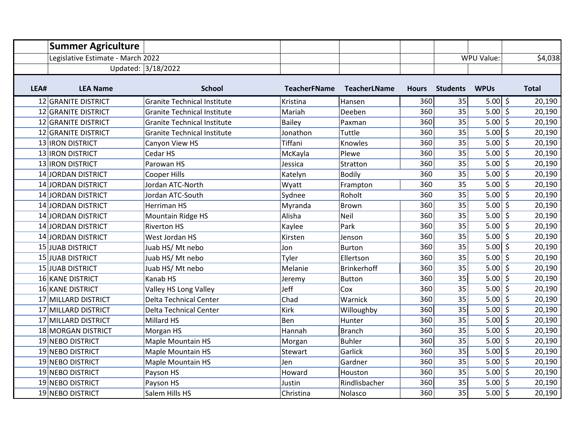|      | <b>Summer Agriculture</b>         |                                    |                     |                     |              |                 |                          |              |
|------|-----------------------------------|------------------------------------|---------------------|---------------------|--------------|-----------------|--------------------------|--------------|
|      | Legislative Estimate - March 2022 |                                    |                     |                     |              |                 | WPU Value:               | \$4,038      |
|      |                                   | Updated: 3/18/2022                 |                     |                     |              |                 |                          |              |
|      |                                   |                                    |                     |                     |              |                 |                          |              |
| LEA# | <b>LEA Name</b>                   | <b>School</b>                      | <b>TeacherFName</b> | <b>TeacherLName</b> | <b>Hours</b> | <b>Students</b> | <b>WPUs</b>              | <b>Total</b> |
|      | 12 GRANITE DISTRICT               | <b>Granite Technical Institute</b> | Kristina            | Hansen              | 360          | 35              | $5.00  $ \$              | 20,190       |
|      | 12 GRANITE DISTRICT               | <b>Granite Technical Institute</b> | Mariah              | Deeben              | 360          | 35              | $5.00 \mid \xi$          | 20,190       |
|      | 12 GRANITE DISTRICT               | <b>Granite Technical Institute</b> | <b>Bailey</b>       | Paxman              | 360          | 35              | $5.00$ \$                | 20,190       |
|      | 12 GRANITE DISTRICT               | <b>Granite Technical Institute</b> | Jonathon            | Tuttle              | 360          | 35              | $5.00$ \$                | 20,190       |
|      | 13 <b>IRON DISTRICT</b>           | Canyon View HS                     | Tiffani             | Knowles             | 360          | 35              | $5.00$ \$                | 20,190       |
|      | 13 <b>IRON DISTRICT</b>           | Cedar HS                           | McKayla             | Plewe               | 360          | 35              | $5.00 \overline{5}$      | 20,190       |
|      | 13 <b>IRON DISTRICT</b>           | Parowan HS                         | Jessica             | Stratton            | 360          | 35              | $5.00$ \$                | 20,190       |
|      | 14 JORDAN DISTRICT                | <b>Cooper Hills</b>                | Katelyn             | <b>Bodily</b>       | 360          | 35              | $5.00$ \$                | 20,190       |
|      | 14 JORDAN DISTRICT                | Jordan ATC-North                   | Wyatt               | Frampton            | 360          | 35              | $5.00$ \$                | 20,190       |
|      | 14 JORDAN DISTRICT                | Jordan ATC-South                   | Sydnee              | Roholt              | 360          | 35              | $5.00$ \$                | 20,190       |
|      | 14 JORDAN DISTRICT                | Herriman HS                        | Myranda             | Brown               | 360          | 35              | $5.00 \mid \overline{5}$ | 20,190       |
|      | 14 JORDAN DISTRICT                | Mountain Ridge HS                  | Alisha              | Neil                | 360          | 35              | $5.00$ \$                | 20,190       |
|      | 14 JORDAN DISTRICT                | <b>Riverton HS</b>                 | Kaylee              | Park                | 360          | 35              | $5.00$ \$                | 20,190       |
|      | 14 JORDAN DISTRICT                | West Jordan HS                     | Kirsten             | Jenson              | 360          | 35              | $5.00$ \$                | 20,190       |
|      | 15 JUAB DISTRICT                  | Juab HS/ Mt nebo                   | Jon                 | Burton              | 360          | 35              | $5.00$ \$                | 20,190       |
|      | <b>15 JUAB DISTRICT</b>           | Juab HS/Mt nebo                    | Tyler               | Ellertson           | 360          | 35              | $5.00$ \$                | 20,190       |
|      | 15 JUAB DISTRICT                  | Juab HS/Mt nebo                    | Melanie             | Brinkerhoff         | 360          | 35              | $5.00$ \$                | 20,190       |
|      | 16 KANE DISTRICT                  | Kanab HS                           | Jeremy              | <b>Button</b>       | 360          | 35              | $5.00 \mid \xi$          | 20,190       |
|      | <b>16 KANE DISTRICT</b>           | Valley HS Long Valley              | Jeff                | Cox                 | 360          | 35              | $5.00$ \$                | 20,190       |
|      | 17 MILLARD DISTRICT               | <b>Delta Technical Center</b>      | Chad                | Warnick             | 360          | 35              | $5.00$ \$                | 20,190       |
|      | 17 MILLARD DISTRICT               | <b>Delta Technical Center</b>      | <b>Kirk</b>         | Willoughby          | 360          | 35              | $5.00$ \$                | 20,190       |
|      | 17 MILLARD DISTRICT               | Millard HS                         | Ben                 | Hunter              | 360          | 35              | 5.00   \$                | 20,190       |
|      | 18 MORGAN DISTRICT                | Morgan HS                          | Hannah              | <b>Branch</b>       | 360          | 35              | 5.00   \$                | 20,190       |
|      | 19 NEBO DISTRICT                  | <b>Maple Mountain HS</b>           | Morgan              | <b>Buhler</b>       | 360          | 35              | $5.00 \mid \xi$          | 20,190       |
|      | 19 NEBO DISTRICT                  | Maple Mountain HS                  | Stewart             | Garlick             | 360          | 35              | $5.00$ \$                | 20,190       |
|      | 19 NEBO DISTRICT                  | Maple Mountain HS                  | Jen                 | Gardner             | 360          | 35              | 5.00   \$                | 20,190       |
|      | 19 NEBO DISTRICT                  | Payson HS                          | Howard              | Houston             | 360          | 35              | $5.00$ \$                | 20,190       |
|      | 19 NEBO DISTRICT                  | Payson HS                          | Justin              | Rindlisbacher       | 360          | 35              | $5.00 \mid \xi$          | 20,190       |
|      | 19 NEBO DISTRICT                  | Salem Hills HS                     | Christina           | Nolasco             | 360          | 35              | $5.00 \mid \xi$          | 20,190       |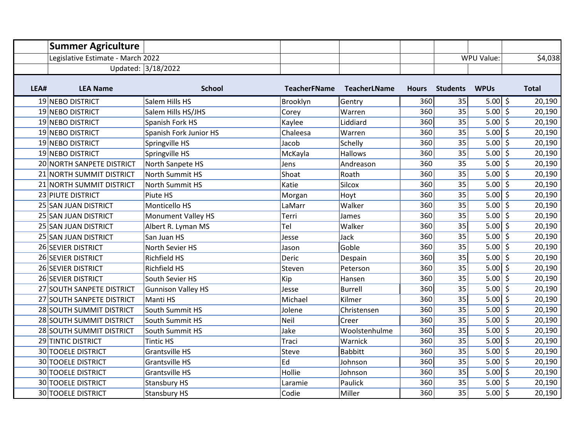|      | <b>Summer Agriculture</b>         |                           |                     |                     |              |                 |                          |              |
|------|-----------------------------------|---------------------------|---------------------|---------------------|--------------|-----------------|--------------------------|--------------|
|      | Legislative Estimate - March 2022 |                           |                     |                     |              |                 | WPU Value:               | \$4,038      |
|      |                                   | Updated: 3/18/2022        |                     |                     |              |                 |                          |              |
|      |                                   |                           |                     |                     |              |                 |                          |              |
| LEA# | <b>LEA Name</b>                   | <b>School</b>             | <b>TeacherFName</b> | <b>TeacherLName</b> | <b>Hours</b> | <b>Students</b> | <b>WPUs</b>              | <b>Total</b> |
|      | 19 NEBO DISTRICT                  | Salem Hills HS            | Brooklyn            | Gentry              | 360          | 35              | 5.00   \$                | 20,190       |
|      | 19 NEBO DISTRICT                  | Salem Hills HS/JHS        | Corey               | Warren              | 360          | 35              | $5.00$ \$                | 20,190       |
|      | 19 NEBO DISTRICT                  | Spanish Fork HS           | Kaylee              | Liddiard            | 360          | 35              | $5.00$ \$                | 20,190       |
|      | 19 NEBO DISTRICT                  | Spanish Fork Junior HS    | Chaleesa            | Warren              | 360          | 35              | $5.00$ \$                | 20,190       |
|      | 19 NEBO DISTRICT                  | Springville HS            | Jacob               | Schelly             | 360          | 35              | $5.00$ \$                | 20,190       |
|      | 19 NEBO DISTRICT                  | Springville HS            | McKayla             | Hallows             | 360          | 35              | $5.00 \overline{5}$      | 20,190       |
|      | 20 NORTH SANPETE DISTRICT         | North Sanpete HS          | Jens                | Andreason           | 360          | 35              | $5.00$ \$                | 20,190       |
|      | 21 NORTH SUMMIT DISTRICT          | <b>North Summit HS</b>    | Shoat               | Roath               | 360          | 35              | $5.00$ \$                | 20,190       |
|      | 21 NORTH SUMMIT DISTRICT          | North Summit HS           | Katie               | Silcox              | 360          | 35              | $5.00$ \$                | 20,190       |
|      | 23 PIUTE DISTRICT                 | Piute HS                  | Morgan              | Hoyt                | 360          | 35              | $5.00$ \$                | 20,190       |
|      | 25 SAN JUAN DISTRICT              | Monticello HS             | LaMarr              | Walker              | 360          | 35              | $5.00 \mid \overline{5}$ | 20,190       |
|      | 25 SAN JUAN DISTRICT              | <b>Monument Valley HS</b> | Terri               | James               | 360          | 35              | $5.00$ \$                | 20,190       |
|      | 25 SAN JUAN DISTRICT              | Albert R. Lyman MS        | Tel                 | Walker              | 360          | 35              | $5.00$ \$                | 20,190       |
|      | 25 SAN JUAN DISTRICT              | San Juan HS               | Jesse               | Jack                | 360          | 35              | $5.00$ \$                | 20,190       |
|      | 26 SEVIER DISTRICT                | North Sevier HS           | Jason               | Goble               | 360          | 35              | $5.00$ \$                | 20,190       |
|      | 26 SEVIER DISTRICT                | <b>Richfield HS</b>       | Deric               | Despain             | 360          | 35              | $5.00$ \$                | 20,190       |
|      | 26 SEVIER DISTRICT                | Richfield HS              | Steven              | Peterson            | 360          | 35              | $5.00$ \$                | 20,190       |
|      | 26 SEVIER DISTRICT                | South Sevier HS           | Kip                 | Hansen              | 360          | 35              | $5.00$ \$                | 20,190       |
|      | 27 SOUTH SANPETE DISTRICT         | <b>Gunnison Valley HS</b> | Jesse               | <b>Burrell</b>      | 360          | 35              | $5.00$ \$                | 20,190       |
|      | 27 SOUTH SANPETE DISTRICT         | Manti HS                  | Michael             | Kilmer              | 360          | 35              | $5.00$ \$                | 20,190       |
|      | 28 SOUTH SUMMIT DISTRICT          | South Summit HS           | Jolene              | Christensen         | 360          | 35              | $5.00 \, \xi$            | 20,190       |
|      | 28 SOUTH SUMMIT DISTRICT          | South Summit HS           | Neil                | Creer               | 360          | 35              | $5.00$ \$                | 20,190       |
|      | 28 SOUTH SUMMIT DISTRICT          | South Summit HS           | Jake                | Woolstenhulme       | 360          | 35              | 5.00   \$                | 20,190       |
|      | 29 TINTIC DISTRICT                | <b>Tintic HS</b>          | Traci               | Warnick             | 360          | 35              | $5.00 \mid \xi$          | 20,190       |
|      | <b>30 TOOELE DISTRICT</b>         | Grantsville HS            | Steve               | <b>Babbitt</b>      | 360          | 35              | $5.00$ \$                | 20,190       |
|      | <b>30 TOOELE DISTRICT</b>         | <b>Grantsville HS</b>     | Ed                  | Johnson             | 360          | 35              | $5.00 \mid \xi$          | 20,190       |
|      | <b>30 TOOELE DISTRICT</b>         | <b>Grantsville HS</b>     | Hollie              | Johnson             | 360          | 35              | $5.00$ \$                | 20,190       |
|      | <b>30 TOOELE DISTRICT</b>         | <b>Stansbury HS</b>       | Laramie             | Paulick             | 360          | 35              | $5.00 \, \xi$            | 20,190       |
|      | <b>30 TOOELE DISTRICT</b>         | <b>Stansbury HS</b>       | Codie               | Miller              | 360          | 35              | $5.00 \mid \xi$          | 20,190       |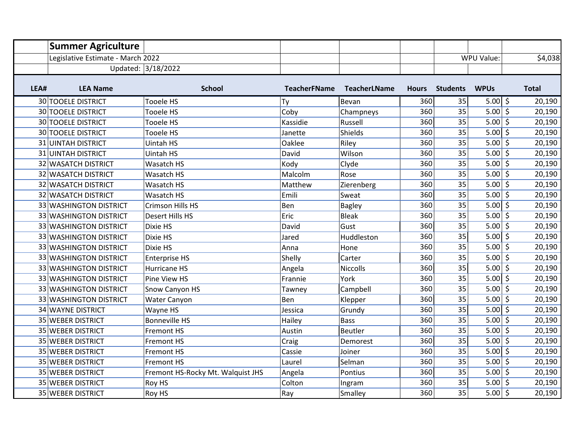|      | <b>Summer Agriculture</b>         |                                   |                     |                     |              |                 |                     |              |
|------|-----------------------------------|-----------------------------------|---------------------|---------------------|--------------|-----------------|---------------------|--------------|
|      | Legislative Estimate - March 2022 |                                   |                     |                     |              |                 | WPU Value:          | \$4,038      |
|      |                                   | Updated: 3/18/2022                |                     |                     |              |                 |                     |              |
| LEA# | <b>LEA Name</b>                   | <b>School</b>                     | <b>TeacherFName</b> | <b>TeacherLName</b> | <b>Hours</b> | <b>Students</b> | <b>WPUs</b>         | <b>Total</b> |
|      | <b>30 TOOELE DISTRICT</b>         | Tooele HS                         | Ty                  | Bevan               | 360          | 35              | $5.00$ \$           | 20,190       |
|      | <b>30 TOOELE DISTRICT</b>         | <b>Tooele HS</b>                  | Coby                | Champneys           | 360          | 35              | $5.00 \leq$         | 20,190       |
|      | <b>30 TOOELE DISTRICT</b>         | <b>Tooele HS</b>                  | Kassidie            | Russell             | 360          | 35              | $5.00\sqrt{5}$      | 20,190       |
|      | <b>30 TOOELE DISTRICT</b>         | Tooele HS                         | Janette             | Shields             | 360          | 35              | $5.00$ \$           | 20,190       |
|      | <b>31 UINTAH DISTRICT</b>         | Uintah HS                         | Oaklee              | Riley               | 360          | 35              | $5.00$ \$           | 20,190       |
|      | <b>31 UINTAH DISTRICT</b>         | Uintah HS                         | David               | Wilson              | 360          | 35              | $5.00$ \$           | 20,190       |
|      | <b>32 WASATCH DISTRICT</b>        | Wasatch HS                        | Kody                | Clyde               | 360          | 35              | $5.00$ \$           | 20,190       |
|      | 32 WASATCH DISTRICT               | <b>Wasatch HS</b>                 | Malcolm             | Rose                | 360          | 35              | $5.00\sqrt{5}$      | 20,190       |
|      | 32 WASATCH DISTRICT               | Wasatch HS                        | Matthew             | Zierenberg          | 360          | 35              | $5.00$ \$           | 20,190       |
|      | <b>32 WASATCH DISTRICT</b>        | Wasatch HS                        | Emili               | Sweat               | 360          | 35              | $5.00$ \$           | 20,190       |
|      | 33 WASHINGTON DISTRICT            | <b>Crimson Hills HS</b>           | Ben                 | <b>Bagley</b>       | 360          | 35              | $5.00$ \$           | 20,190       |
|      | 33 WASHINGTON DISTRICT            | Desert Hills HS                   | Eric                | <b>Bleak</b>        | 360          | 35              | $5.00$ \$           | 20,190       |
|      | 33 WASHINGTON DISTRICT            | Dixie HS                          | David               | Gust                | 360          | 35              | $5.00$ \$           | 20,190       |
|      | 33 WASHINGTON DISTRICT            | Dixie HS                          | Jared               | Huddleston          | 360          | 35              | $5.00$ \$           | 20,190       |
|      | 33 WASHINGTON DISTRICT            | Dixie HS                          | Anna                | Hone                | 360          | 35              | $5.00 \leq$         | 20,190       |
|      | 33 WASHINGTON DISTRICT            | <b>Enterprise HS</b>              | Shelly              | Carter              | 360          | 35              | $5.00$ \$           | 20,190       |
|      | 33 WASHINGTON DISTRICT            | Hurricane HS                      | Angela              | <b>Niccolls</b>     | 360          | 35              | $5.00$ \$           | 20,190       |
|      | 33 WASHINGTON DISTRICT            | Pine View HS                      | Frannie             | York                | 360          | 35              | 5.00 $\overline{5}$ | 20,190       |
|      | 33 WASHINGTON DISTRICT            | Snow Canyon HS                    | Tawney              | Campbell            | 360          | 35              | $5.00$ \$           | 20,190       |
|      | 33 WASHINGTON DISTRICT            | Water Canyon                      | Ben                 | Klepper             | 360          | 35              | $5.00$ \$           | 20,190       |
|      | 34 WAYNE DISTRICT                 | Wayne HS                          | Jessica             | Grundy              | 360          | 35              | $5.00$ \$           | 20,190       |
|      | 35 WEBER DISTRICT                 | <b>Bonneville HS</b>              | Hailey              | <b>Bass</b>         | 360          | 35              | $5.00$ \$           | 20,190       |
|      | 35 WEBER DISTRICT                 | Fremont HS                        | Austin              | Beutler             | 360          | 35              | $5.00$ \$           | 20,190       |
|      | 35 WEBER DISTRICT                 | Fremont HS                        | Craig               | Demorest            | 360          | 35              | $5.00 \mid \xi$     | 20,190       |
|      | 35 WEBER DISTRICT                 | Fremont HS                        | Cassie              | Joiner              | 360          | 35              | 5.00   \$           | 20,190       |
|      | 35 WEBER DISTRICT                 | Fremont HS                        | Laurel              | Selman              | 360          | 35              | $5.00$ \$           | 20,190       |
|      | 35 WEBER DISTRICT                 | Fremont HS-Rocky Mt. Walquist JHS | Angela              | Pontius             | 360          | 35              | $5.00$ \$           | 20,190       |
|      | 35 WEBER DISTRICT                 | Roy HS                            | Colton              | Ingram              | 360          | 35              | $5.00 \leq$         | 20,190       |
|      | 35 WEBER DISTRICT                 | Roy HS                            | Ray                 | Smalley             | 360          | 35              | $5.00$ \$           | 20,190       |